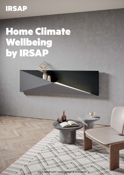# **IRSAP**

# Home Climate Wellbeing by IRSAP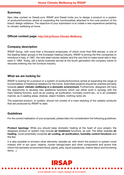#### **Summary**

New Idea contest on Desall.com: IRSAP and Desall invite you to design a product or a system of products/functions aimed at expanding the functionalities attached to the core product of the brand: design radiators. The objective of your submission is to create a new experience pertaining to climatic wellbeing at home.

#### Official contest page: <http://bit.ly/Home-Climate-Wellbeing>

# Company description

IRSAP Group, with more than a thousand employees, of which more than 600 abroad, is one of the leading Italian groups in the European heating industry. IRSAP is among the first companies to introduce in Italy, in 1967, the mild steel tubular radiator and the very first to make towel rails in Italy back in 1983. Today, still a family business arrived at the fourth generation the company wants to renovate entering into the furniture industry.

#### What we are looking for

IRSAP is looking for a product or a system of products/functions aimed at expanding the range of functionalities of traditional radiators for the home. Submitted projects should be oriented primarily towards users' climatic wellbeing in a domestic environment. Furthermore, designers will have the opportunity to develop new additional functions which can either work in synergy with the main heating function, such as air cooling, air purification, humidity control etc., or in an unrelated manner, as in seating areas, shelves, object holders, clothing racks etc.

The expected product, or system, should not consist of a mere restyling of the radiator products that are produced by IRSAP to date.

# **Guidelines**

For the correct realisation of your proposals, please take into consideration the following guidelines:

**Product typology:** While you should keep domestic heating at the heart of your project, the designed product or system may include air treatment functions, as well. The latter, besides air heating, could potentially comprise air cooling, air purification, humidity control functions and the like.

It is also possible to envision other elements, besides air, with which the product or system could interact with or act upon: objects, human beings/users and other components and actors that inform the domestic environment (food, plants, pets, liquid substances, interior decor and furnishing items…)

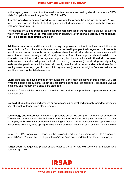In this regard, keep in mind that the maximum temperature reached by electric radiators is 70°C, while for hydraulic ones it ranges from 30°C to 40°C.

It is also possible to create a product or a system for a specific area of the home. A towel rack, for instance, as clearly illustrated by its dedicated functions, is designed with the toilet and bathroom areas in mind.

There are no limitations imposed on the general characteristics of the requested product or system, which may be **wall-mounted, free standing** or constitute a **functional surface**, a **management** tool like a digital application, and so on.

Additional functions: additional functions may be presented without particular restrictions, for example, in the form of accessories, sensors, a controlling app or the integration of 2 products into 1, as well as into a multi-product system where the individual elements communicate with each other and work synergistically. Overall, the type of functions proposed should pertain to the domestic use of the product or system proposed, but it may include additional air treatment features (such as air cooling, air purification, humidity control etc.), monitoring and signalling features (temperature, humidity level, air quality, weather etc.), interior decor features (as in seating areas, shelves, object holders, clothing racks etc.), as well as original features that are not mentioned among the listed examples.

**Style:** although the development of new functions is the main objective of this contest, you are invited to design a product that is both aesthetically pleasing and technologically advanced. Overall, a minimal and modern style should be preferred.

In case of functionalities connecting more than one product, it is possible to represent your project schematically.

Context of use: the designed product or system should be destined primarily for indoor domestic use, although outdoor use is also admitted.

Technology and materials: All submitted products should be designed for industrial production. There are no other considerable limitations when it comes to the technology and materials that may be employed. However, for products with heating surfaces, it will be necessary to adapt the chosen materials accordingly, thus opting for suitable materials and coatings, such as steel, aluminum etc.

Logo: the IRSAP logo may be placed on the designed products in a discreet way, with a suggested size of 3x1cm. You can find the logo in the *Material Files* downloadable from the contest page.

**Target user:** the requested project should cater to 35 to 45-year-old users with a medium-level purchasing power.

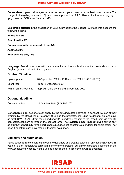Deliverables: upload all images in order to present your projects in the best possible way. The images in the gallery (maximum 5) must have a proportion of 4:3. Allowed file formats: .jpg, .gif o .png; colours: RGB; max file size: 1MB.

Evaluation criteria: in the evaluation of your submissions the Sponsor will take into account the following criteria:

Innovation 5/5

Functionality 5/5

Consistency with the context of use 4/5

Aesthetic 3/5

Economic viability 3/5

Language: Desall is an international community, and as such all submitted texts should be in English (abstract, description, tags, ecc.).

#### Contest Timeline

| Upload phase:        | 20 September 2021 – 15 December 2021 (1.59 PM UTC) |
|----------------------|----------------------------------------------------|
| Client vote:         | from 15 December 2021                              |
| Winner announcement: | approximately by the end of February 2022          |

# Optional deadline

Concept revision: 18 October 2021 (1.59 PM UTC)

Concept revision: designers can apply, by the date indicated above, for a concept revision of their projects by the Desall Team. To apply, 1) upload the project(s), including its description, and save as draft (SAVE DRAFT) from the upload page; 2) send your request to the Desall Team via email to [contest@desall.com](mailto:contest@desall.com) or through the contact form. The revision is NOT mandatory: it serves only as a further opportunity for the participants but does not constitute a condition for participation, nor does it constitute any advantage in the final evaluation.

#### Eligibility and submission

Participation is free of charge and open to designers and creative talents of any nationality aged 18 years or older. Participants can submit one or more projects, but only the projects published on the www.desall.com website, via the upload page related to this contest will be accepted.

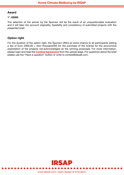# Award

#### 1°: €5000

The selection of the winner by the Sponsor will be the result of an unquestionable evaluation and it will take into account originality, feasibility and consistency of submitted projects with the presented brief.

# Option right

For the duration of the option right, the Sponsor offers an extra chance to all participants setting a fee of Euro 2000,00 = (two thousand/00) for the purchase of the license for the economical exploitation of the projects not-acknowledged as the winning proposals. For more information, please login and read the **[Contest Agreement](https://www.desall.com/Contest/Home-Climate-Wellbeing-by-IRSAP/Upload)** from the upload page. For questions about the brief please use the "Have a question" button or write to contest@desall.com.